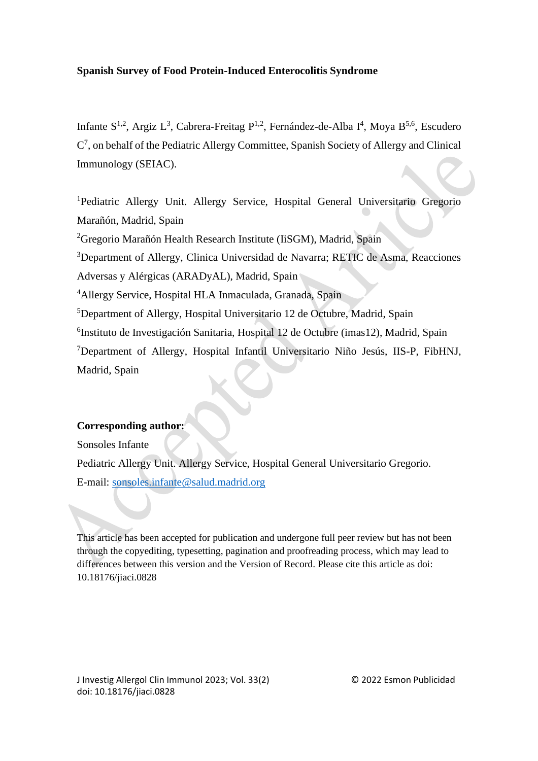## **Spanish Survey of Food Protein-Induced Enterocolitis Syndrome**

Infante  $S^{1,2}$ , Argiz L<sup>3</sup>, Cabrera-Freitag P<sup>1,2</sup>, Fernández-de-Alba I<sup>4</sup>, Moya B<sup>5,6</sup>, Escudero  $C^7$ , on behalf of the Pediatric Allergy Committee, Spanish Society of Allergy and Clinical Immunology (SEIAC).

<sup>1</sup>Pediatric Allergy Unit. Allergy Service, Hospital General Universitario Gregorio Marañón, Madrid, Spain

<sup>2</sup>Gregorio Marañón Health Research Institute (IiSGM), Madrid, Spain

<sup>3</sup>Department of Allergy, Clinica Universidad de Navarra; RETIC de Asma, Reacciones

Adversas y Alérgicas (ARADyAL), Madrid, Spain

<sup>4</sup>Allergy Service, Hospital HLA Inmaculada, Granada, Spain

<sup>5</sup>Department of Allergy, Hospital Universitario 12 de Octubre, Madrid, Spain

6 Instituto de Investigación Sanitaria, Hospital 12 de Octubre (imas12), Madrid, Spain

<sup>7</sup>Department of Allergy, Hospital Infantil Universitario Niño Jesús, IIS-P, FibHNJ, Madrid, Spain

# **Corresponding author:**

Sonsoles Infante

Pediatric Allergy Unit. Allergy Service, Hospital General Universitario Gregorio.

E-mail: [sonsoles.infante@salud.madrid.org](mailto:sonsoles.infante@salud.madrid.org)

This article has been accepted for publication and undergone full peer review but has not been through the copyediting, typesetting, pagination and proofreading process, which may lead to differences between this version and the Version of Record. Please cite this article as doi: 10.18176/jiaci.0828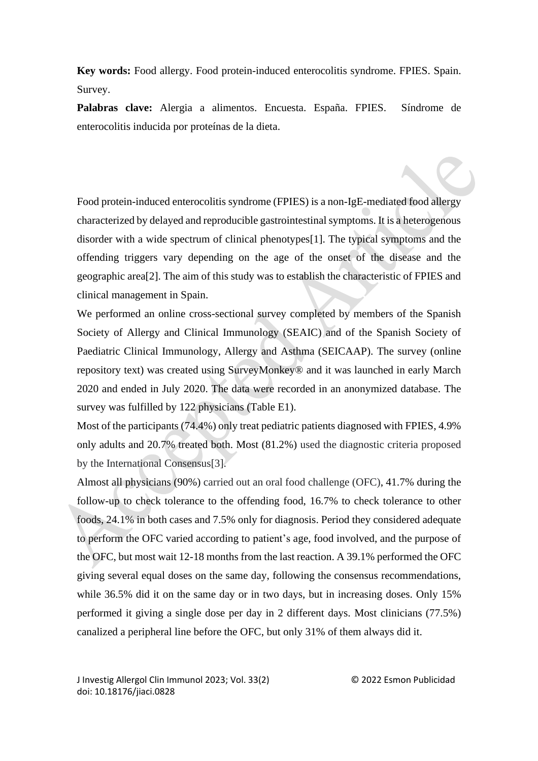**Key words:** Food allergy. Food protein-induced enterocolitis syndrome. FPIES. Spain. Survey.

**Palabras clave:** Alergia a alimentos. Encuesta. España. FPIES. Síndrome de enterocolitis inducida por proteínas de la dieta.

Food protein-induced enterocolitis syndrome (FPIES) is a non-IgE-mediated food allergy characterized by delayed and reproducible gastrointestinal symptoms. It is a heterogenous disorder with a wide spectrum of clinical phenotypes[1]. The typical symptoms and the offending triggers vary depending on the age of the onset of the disease and the geographic area[2]. The aim of this study was to establish the characteristic of FPIES and clinical management in Spain.

We performed an online cross-sectional survey completed by members of the Spanish Society of Allergy and Clinical Immunology (SEAIC) and of the Spanish Society of Paediatric Clinical Immunology, Allergy and Asthma (SEICAAP). The survey (online repository text) was created using SurveyMonkey® and it was launched in early March 2020 and ended in July 2020. The data were recorded in an anonymized database. The survey was fulfilled by 122 physicians (Table E1).

Most of the participants (74.4%) only treat pediatric patients diagnosed with FPIES, 4.9% only adults and 20.7% treated both. Most (81.2%) used the diagnostic criteria proposed by the International Consensus[3].

Almost all physicians (90%) carried out an oral food challenge (OFC), 41.7% during the follow-up to check tolerance to the offending food, 16.7% to check tolerance to other foods, 24.1% in both cases and 7.5% only for diagnosis. Period they considered adequate to perform the OFC varied according to patient's age, food involved, and the purpose of the OFC, but most wait 12-18 months from the last reaction. A 39.1% performed the OFC giving several equal doses on the same day, following the consensus recommendations, while 36.5% did it on the same day or in two days, but in increasing doses. Only 15% performed it giving a single dose per day in 2 different days. Most clinicians (77.5%) canalized a peripheral line before the OFC, but only 31% of them always did it.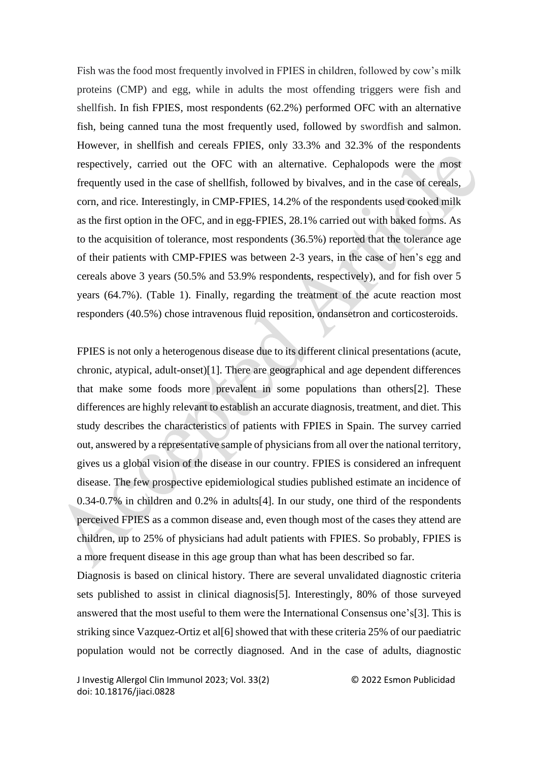Fish was the food most frequently involved in FPIES in children, followed by cow's milk proteins (CMP) and egg, while in adults the most offending triggers were fish and shellfish. In fish FPIES, most respondents (62.2%) performed OFC with an alternative fish, being canned tuna the most frequently used, followed by swordfish and salmon. However, in shellfish and cereals FPIES, only 33.3% and 32.3% of the respondents respectively, carried out the OFC with an alternative. Cephalopods were the most frequently used in the case of shellfish, followed by bivalves, and in the case of cereals, corn, and rice. Interestingly, in CMP-FPIES, 14.2% of the respondents used cooked milk as the first option in the OFC, and in egg-FPIES, 28.1% carried out with baked forms. As to the acquisition of tolerance, most respondents (36.5%) reported that the tolerance age of their patients with CMP-FPIES was between 2-3 years, in the case of hen's egg and cereals above 3 years (50.5% and 53.9% respondents, respectively), and for fish over 5 years (64.7%). (Table 1). Finally, regarding the treatment of the acute reaction most responders (40.5%) chose intravenous fluid reposition, ondansetron and corticosteroids.

FPIES is not only a heterogenous disease due to its different clinical presentations (acute, chronic, atypical, adult-onset)[1]. There are geographical and age dependent differences that make some foods more prevalent in some populations than others[2]. These differences are highly relevant to establish an accurate diagnosis, treatment, and diet. This study describes the characteristics of patients with FPIES in Spain. The survey carried out, answered by a representative sample of physicians from all over the national territory, gives us a global vision of the disease in our country. FPIES is considered an infrequent disease. The few prospective epidemiological studies published estimate an incidence of 0.34-0.7% in children and 0.2% in adults[4]. In our study, one third of the respondents perceived FPIES as a common disease and, even though most of the cases they attend are children, up to 25% of physicians had adult patients with FPIES. So probably, FPIES is a more frequent disease in this age group than what has been described so far.

Diagnosis is based on clinical history. There are several unvalidated diagnostic criteria sets published to assist in clinical diagnosis[5]. Interestingly, 80% of those surveyed answered that the most useful to them were the International Consensus one's[3]. This is striking since Vazquez-Ortiz et al[6] showed that with these criteria 25% of our paediatric population would not be correctly diagnosed. And in the case of adults, diagnostic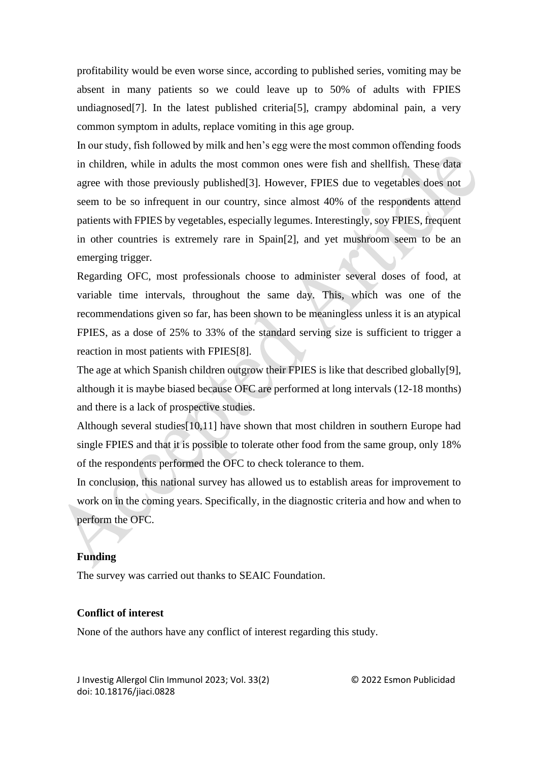profitability would be even worse since, according to published series, vomiting may be absent in many patients so we could leave up to 50% of adults with FPIES undiagnosed[7]. In the latest published criteria[5], crampy abdominal pain, a very common symptom in adults, replace vomiting in this age group.

In our study, fish followed by milk and hen's egg were the most common offending foods in children, while in adults the most common ones were fish and shellfish. These data agree with those previously published[3]. However, FPIES due to vegetables does not seem to be so infrequent in our country, since almost 40% of the respondents attend patients with FPIES by vegetables, especially legumes. Interestingly, soy FPIES, frequent in other countries is extremely rare in Spain[2], and yet mushroom seem to be an emerging trigger.

Regarding OFC, most professionals choose to administer several doses of food, at variable time intervals, throughout the same day. This, which was one of the recommendations given so far, has been shown to be meaningless unless it is an atypical FPIES, as a dose of 25% to 33% of the standard serving size is sufficient to trigger a reaction in most patients with FPIES[8].

The age at which Spanish children outgrow their FPIES is like that described globally[9], although it is maybe biased because OFC are performed at long intervals (12-18 months) and there is a lack of prospective studies.

Although several studies[10,11] have shown that most children in southern Europe had single FPIES and that it is possible to tolerate other food from the same group, only 18% of the respondents performed the OFC to check tolerance to them.

In conclusion, this national survey has allowed us to establish areas for improvement to work on in the coming years. Specifically, in the diagnostic criteria and how and when to perform the OFC.

### **Funding**

The survey was carried out thanks to SEAIC Foundation.

## **Conflict of interest**

None of the authors have any conflict of interest regarding this study.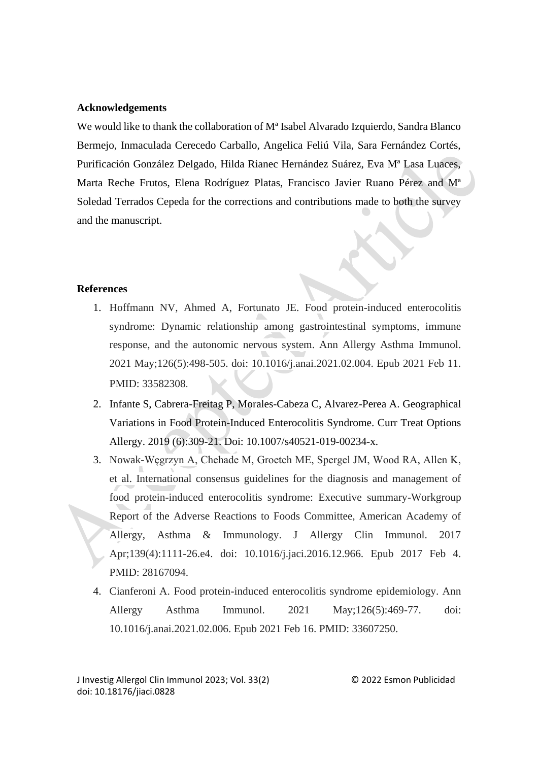#### **Acknowledgements**

We would like to thank the collaboration of M<sup>a</sup> Isabel Alvarado Izquierdo, Sandra Blanco Bermejo, Inmaculada Cerecedo Carballo, Angelica Feliú Vila, Sara Fernández Cortés, Purificación González Delgado, Hilda Rianec Hernández Suárez, Eva Mª Lasa Luaces, Marta Reche Frutos, Elena Rodríguez Platas, Francisco Javier Ruano Pérez and Mª Soledad Terrados Cepeda for the corrections and contributions made to both the survey and the manuscript.

#### **References**

- 1. Hoffmann NV, Ahmed A, Fortunato JE. Food protein-induced enterocolitis syndrome: Dynamic relationship among gastrointestinal symptoms, immune response, and the autonomic nervous system. Ann Allergy Asthma Immunol. 2021 May;126(5):498-505. doi: 10.1016/j.anai.2021.02.004. Epub 2021 Feb 11. PMID: 33582308.
- 2. Infante S, Cabrera-Freitag P, Morales-Cabeza C, Alvarez-Perea A. Geographical Variations in Food Protein-Induced Enterocolitis Syndrome. Curr Treat Options Allergy. 2019 (6):309-21. Doi: 10.1007/s40521-019-00234-x.
- 3. Nowak-Węgrzyn A, Chehade M, Groetch ME, Spergel JM, Wood RA, Allen K, et al. International consensus guidelines for the diagnosis and management of food protein-induced enterocolitis syndrome: Executive summary-Workgroup Report of the Adverse Reactions to Foods Committee, American Academy of Allergy, Asthma & Immunology. J Allergy Clin Immunol. 2017 Apr;139(4):1111-26.e4. doi: 10.1016/j.jaci.2016.12.966. Epub 2017 Feb 4. PMID: 28167094.
- 4. Cianferoni A. Food protein-induced enterocolitis syndrome epidemiology. Ann Allergy Asthma Immunol. 2021 May;126(5):469-77. doi: 10.1016/j.anai.2021.02.006. Epub 2021 Feb 16. PMID: 33607250.